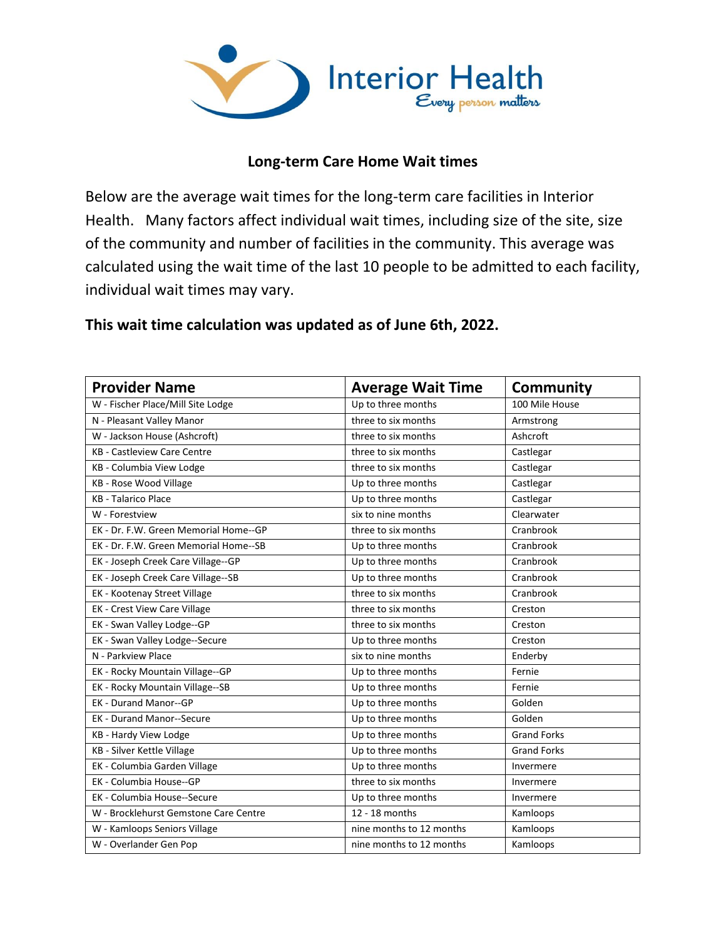

## **Long-term Care Home Wait times**

Below are the average wait times for the long-term care facilities in Interior Health. Many factors affect individual wait times, including size of the site, size of the community and number of facilities in the community. This average was calculated using the wait time of the last 10 people to be admitted to each facility, individual wait times may vary.

## **This wait time calculation was updated as of June 6th, 2022.**

| <b>Provider Name</b>                  | <b>Average Wait Time</b> | Community          |
|---------------------------------------|--------------------------|--------------------|
| W - Fischer Place/Mill Site Lodge     | Up to three months       | 100 Mile House     |
| N - Pleasant Valley Manor             | three to six months      | Armstrong          |
| W - Jackson House (Ashcroft)          | three to six months      | Ashcroft           |
| <b>KB - Castleview Care Centre</b>    | three to six months      | Castlegar          |
| KB - Columbia View Lodge              | three to six months      | Castlegar          |
| KB - Rose Wood Village                | Up to three months       | Castlegar          |
| <b>KB</b> - Talarico Place            | Up to three months       | Castlegar          |
| W - Forestview                        | six to nine months       | Clearwater         |
| EK - Dr. F.W. Green Memorial Home--GP | three to six months      | Cranbrook          |
| EK - Dr. F.W. Green Memorial Home--SB | Up to three months       | Cranbrook          |
| EK - Joseph Creek Care Village--GP    | Up to three months       | Cranbrook          |
| EK - Joseph Creek Care Village--SB    | Up to three months       | Cranbrook          |
| EK - Kootenay Street Village          | three to six months      | Cranbrook          |
| EK - Crest View Care Village          | three to six months      | Creston            |
| EK - Swan Valley Lodge--GP            | three to six months      | Creston            |
| EK - Swan Valley Lodge--Secure        | Up to three months       | Creston            |
| N - Parkview Place                    | six to nine months       | Enderby            |
| EK - Rocky Mountain Village--GP       | Up to three months       | Fernie             |
| EK - Rocky Mountain Village--SB       | Up to three months       | Fernie             |
| <b>EK - Durand Manor--GP</b>          | Up to three months       | Golden             |
| <b>EK - Durand Manor--Secure</b>      | Up to three months       | Golden             |
| KB - Hardy View Lodge                 | Up to three months       | <b>Grand Forks</b> |
| <b>KB</b> - Silver Kettle Village     | Up to three months       | <b>Grand Forks</b> |
| EK - Columbia Garden Village          | Up to three months       | Invermere          |
| EK - Columbia House--GP               | three to six months      | Invermere          |
| EK - Columbia House--Secure           | Up to three months       | Invermere          |
| W - Brocklehurst Gemstone Care Centre | 12 - 18 months           | Kamloops           |
| W - Kamloops Seniors Village          | nine months to 12 months | Kamloops           |
| W - Overlander Gen Pop                | nine months to 12 months | Kamloops           |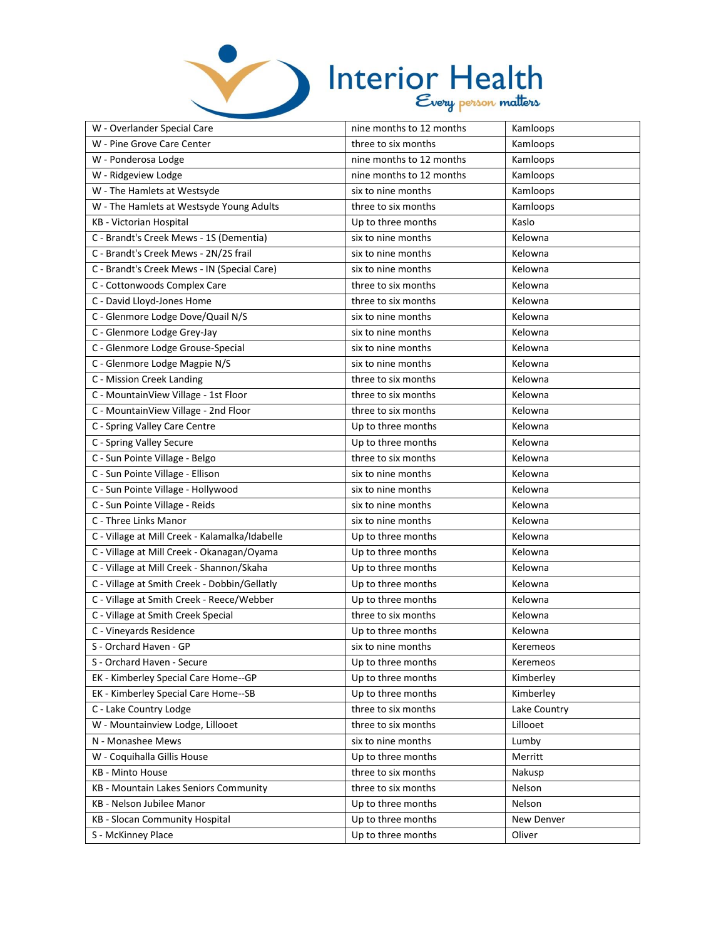

## Interior Health

| W - Overlander Special Care                    | nine months to 12 months | Kamloops     |
|------------------------------------------------|--------------------------|--------------|
| W - Pine Grove Care Center                     | three to six months      | Kamloops     |
| W - Ponderosa Lodge                            | nine months to 12 months | Kamloops     |
| W - Ridgeview Lodge                            | nine months to 12 months | Kamloops     |
| W - The Hamlets at Westsyde                    | six to nine months       | Kamloops     |
| W - The Hamlets at Westsyde Young Adults       | three to six months      | Kamloops     |
| KB - Victorian Hospital                        | Up to three months       | Kaslo        |
| C - Brandt's Creek Mews - 1S (Dementia)        | six to nine months       | Kelowna      |
| C - Brandt's Creek Mews - 2N/2S frail          | six to nine months       | Kelowna      |
| C - Brandt's Creek Mews - IN (Special Care)    | six to nine months       | Kelowna      |
| C - Cottonwoods Complex Care                   | three to six months      | Kelowna      |
| C - David Lloyd-Jones Home                     | three to six months      | Kelowna      |
| C - Glenmore Lodge Dove/Quail N/S              | six to nine months       | Kelowna      |
| C - Glenmore Lodge Grey-Jay                    | six to nine months       | Kelowna      |
| C - Glenmore Lodge Grouse-Special              | six to nine months       | Kelowna      |
| C - Glenmore Lodge Magpie N/S                  | six to nine months       | Kelowna      |
| C - Mission Creek Landing                      | three to six months      | Kelowna      |
| C - MountainView Village - 1st Floor           | three to six months      | Kelowna      |
| C - MountainView Village - 2nd Floor           | three to six months      | Kelowna      |
| C - Spring Valley Care Centre                  | Up to three months       | Kelowna      |
| C - Spring Valley Secure                       | Up to three months       | Kelowna      |
| C - Sun Pointe Village - Belgo                 | three to six months      | Kelowna      |
| C - Sun Pointe Village - Ellison               | six to nine months       | Kelowna      |
| C - Sun Pointe Village - Hollywood             | six to nine months       | Kelowna      |
| C - Sun Pointe Village - Reids                 | six to nine months       | Kelowna      |
| C - Three Links Manor                          | six to nine months       | Kelowna      |
| C - Village at Mill Creek - Kalamalka/Idabelle | Up to three months       | Kelowna      |
| C - Village at Mill Creek - Okanagan/Oyama     | Up to three months       | Kelowna      |
| C - Village at Mill Creek - Shannon/Skaha      | Up to three months       | Kelowna      |
| C - Village at Smith Creek - Dobbin/Gellatly   | Up to three months       | Kelowna      |
| C - Village at Smith Creek - Reece/Webber      | Up to three months       | Kelowna      |
| C - Village at Smith Creek Special             | three to six months      | Kelowna      |
| C - Vineyards Residence                        | Up to three months       | Kelowna      |
| S - Orchard Haven - GP                         | six to nine months       | Keremeos     |
| S - Orchard Haven - Secure                     | Up to three months       | Keremeos     |
| EK - Kimberley Special Care Home--GP           | Up to three months       | Kimberley    |
| EK - Kimberley Special Care Home--SB           | Up to three months       | Kimberley    |
| C - Lake Country Lodge                         | three to six months      | Lake Country |
| W - Mountainview Lodge, Lillooet               | three to six months      | Lillooet     |
| N - Monashee Mews                              | six to nine months       | Lumby        |
| W - Coquihalla Gillis House                    | Up to three months       | Merritt      |
| KB - Minto House                               | three to six months      | Nakusp       |
| KB - Mountain Lakes Seniors Community          | three to six months      | Nelson       |
| KB - Nelson Jubilee Manor                      | Up to three months       | Nelson       |
| KB - Slocan Community Hospital                 | Up to three months       | New Denver   |
| S - McKinney Place                             | Up to three months       | Oliver       |
|                                                |                          |              |